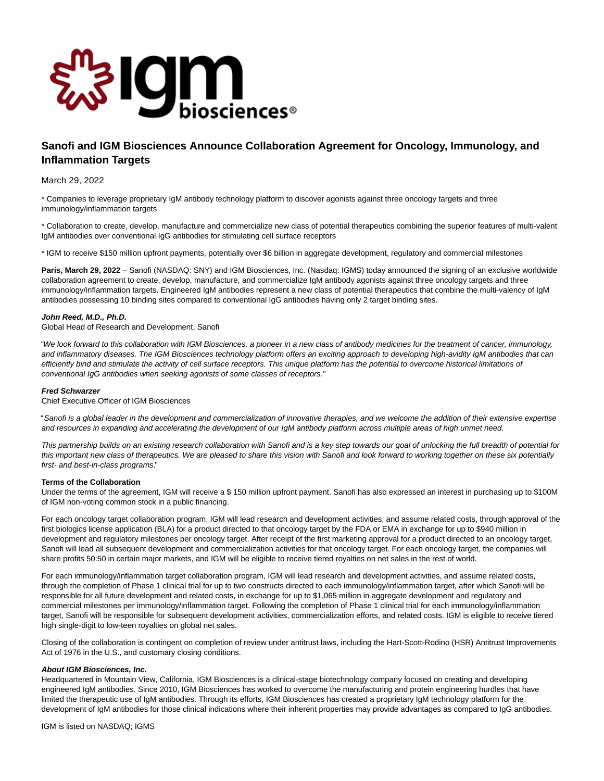

# **Sanofi and IGM Biosciences Announce Collaboration Agreement for Oncology, Immunology, and Inflammation Targets**

## March 29, 2022

\* Companies to leverage proprietary IgM antibody technology platform to discover agonists against three oncology targets and three immunology/inflammation targets

\* Collaboration to create, develop, manufacture and commercialize new class of potential therapeutics combining the superior features of multi-valent IgM antibodies over conventional IgG antibodies for stimulating cell surface receptors

\* IGM to receive \$150 million upfront payments, potentially over \$6 billion in aggregate development, regulatory and commercial milestones

**Paris, March 29, 2022** – Sanofi (NASDAQ: SNY) and IGM Biosciences, Inc. (Nasdaq: IGMS) today announced the signing of an exclusive worldwide collaboration agreement to create, develop, manufacture, and commercialize IgM antibody agonists against three oncology targets and three immunology/inflammation targets. Engineered IgM antibodies represent a new class of potential therapeutics that combine the multi-valency of IgM antibodies possessing 10 binding sites compared to conventional IgG antibodies having only 2 target binding sites.

### **John Reed, M.D., Ph.D.**

Global Head of Research and Development, Sanofi

"We look forward to this collaboration with IGM Biosciences, a pioneer in a new class of antibody medicines for the treatment of cancer, immunology, and inflammatory diseases. The IGM Biosciences technology platform offers an exciting approach to developing high-avidity IgM antibodies that can efficiently bind and stimulate the activity of cell surface receptors. This unique platform has the potential to overcome historical limitations of conventional IgG antibodies when seeking agonists of some classes of receptors."

#### **Fred Schwarzer**

Chief Executive Officer of IGM Biosciences

"Sanofi is a global leader in the development and commercialization of innovative therapies, and we welcome the addition of their extensive expertise and resources in expanding and accelerating the development of our IgM antibody platform across multiple areas of high unmet need.

This partnership builds on an existing research collaboration with Sanofi and is a key step towards our goal of unlocking the full breadth of potential for this important new class of therapeutics. We are pleased to share this vision with Sanofi and look forward to working together on these six potentially first- and best-in-class programs."

## **Terms of the Collaboration**

Under the terms of the agreement, IGM will receive a \$ 150 million upfront payment. Sanofi has also expressed an interest in purchasing up to \$100M of IGM non-voting common stock in a public financing.

For each oncology target collaboration program, IGM will lead research and development activities, and assume related costs, through approval of the first biologics license application (BLA) for a product directed to that oncology target by the FDA or EMA in exchange for up to \$940 million in development and regulatory milestones per oncology target. After receipt of the first marketing approval for a product directed to an oncology target, Sanofi will lead all subsequent development and commercialization activities for that oncology target. For each oncology target, the companies will share profits 50:50 in certain major markets, and IGM will be eligible to receive tiered royalties on net sales in the rest of world.

For each immunology/inflammation target collaboration program, IGM will lead research and development activities, and assume related costs, through the completion of Phase 1 clinical trial for up to two constructs directed to each immunology/inflammation target, after which Sanofi will be responsible for all future development and related costs, in exchange for up to \$1,065 million in aggregate development and regulatory and commercial milestones per immunology/inflammation target. Following the completion of Phase 1 clinical trial for each immunology/inflammation target, Sanofi will be responsible for subsequent development activities, commercialization efforts, and related costs. IGM is eligible to receive tiered high single-digit to low-teen royalties on global net sales.

Closing of the collaboration is contingent on completion of review under antitrust laws, including the Hart-Scott-Rodino (HSR) Antitrust Improvements Act of 1976 in the U.S., and customary closing conditions.

#### **About IGM Biosciences, Inc.**

Headquartered in Mountain View, California, IGM Biosciences is a clinical-stage biotechnology company focused on creating and developing engineered IgM antibodies. Since 2010, IGM Biosciences has worked to overcome the manufacturing and protein engineering hurdles that have limited the therapeutic use of IgM antibodies. Through its efforts, IGM Biosciences has created a proprietary IgM technology platform for the development of IgM antibodies for those clinical indications where their inherent properties may provide advantages as compared to IgG antibodies.

IGM is listed on NASDAQ; IGMS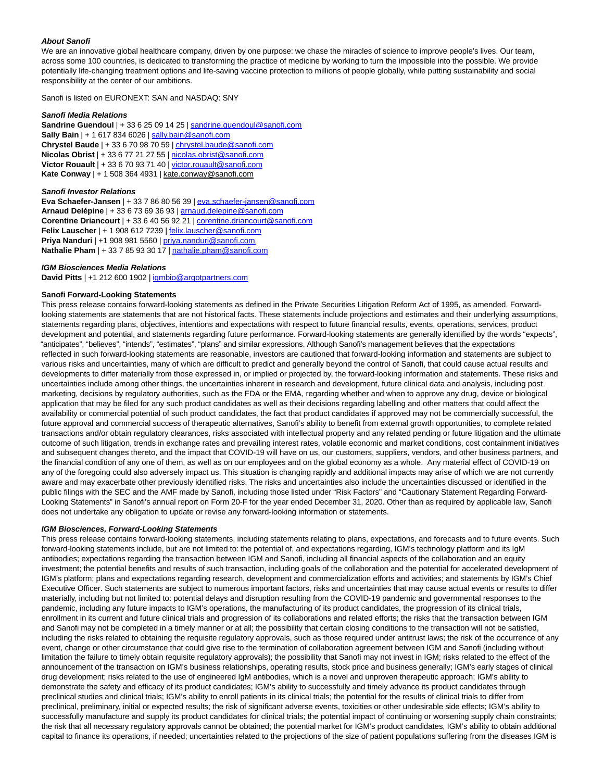## **About Sanofi**

We are an innovative global healthcare company, driven by one purpose: we chase the miracles of science to improve people's lives. Our team, across some 100 countries, is dedicated to transforming the practice of medicine by working to turn the impossible into the possible. We provide potentially life-changing treatment options and life-saving vaccine protection to millions of people globally, while putting sustainability and social responsibility at the center of our ambitions.

Sanofi is listed on EURONEXT: SAN and NASDAQ: SNY

## **Sanofi Media Relations**

Sandrine Guendoul | + 33 6 25 09 14 25 [| sandrine.guendoul@sanofi.com](mailto:sandrine.guendoul@sanofi.com) **Sally Bain** | + 1 617 834 6026 | [sally.bain@sanofi.com](mailto:sally.bain@sanofi.com) **Chrystel Baude** | + 33 6 70 98 70 59 [| chrystel.baude@sanofi.com](mailto:chrystel.baude@sanofi.com) **Nicolas Obrist** | + 33 6 77 21 27 55 | [nicolas.obrist@sanofi.com](mailto:nicolas.obrist@sanofi.com) **Victor Rouault** | + 33 6 70 93 71 40 [| victor.rouault@sanofi.com](mailto:victor.rouault@sanofi.com) **Kate Conway** | + 1 508 364 4931 | kate.conway@sanofi.com

## **Sanofi Investor Relations**

**Eva Schaefer-Jansen** | + 33 7 86 80 56 39 [| eva.schaefer-jansen@sanofi.com](mailto:eva.schaefer-jansen@sanofi.com) **Arnaud Delépine** | + 33 6 73 69 36 93 [| arnaud.delepine@sanofi.com](mailto:arnaud.delepine@sanofi.com) **Corentine Driancourt** | + 33 6 40 56 92 21 | [corentine.driancourt@sanofi.com](mailto:corentine.driancourt@sanofi.com)  **Felix Lauscher** | + 1 908 612 7239 | [felix.lauscher@sanofi.com](mailto:felix.lauscher@sanofi.com) **Priya Nanduri** | +1 908 981 5560 | [priya.nanduri@sanofi.com](mailto:priya.nanduri@sanofi.com)  **Nathalie Pham** | + 33 7 85 93 30 17 | [nathalie.pham@sanofi.com](mailto:nathalie.pham@sanofi.com)

## **IGM Biosciences Media Relations**

**David Pitts** | +1 212 600 1902 | [igmbio@argotpartners.com](mailto:igmbio@argotpartners.com)

### **Sanofi Forward-Looking Statements**

This press release contains forward-looking statements as defined in the Private Securities Litigation Reform Act of 1995, as amended. Forwardlooking statements are statements that are not historical facts. These statements include projections and estimates and their underlying assumptions, statements regarding plans, objectives, intentions and expectations with respect to future financial results, events, operations, services, product development and potential, and statements regarding future performance. Forward-looking statements are generally identified by the words "expects", "anticipates", "believes", "intends", "estimates", "plans" and similar expressions. Although Sanofi's management believes that the expectations reflected in such forward-looking statements are reasonable, investors are cautioned that forward-looking information and statements are subject to various risks and uncertainties, many of which are difficult to predict and generally beyond the control of Sanofi, that could cause actual results and developments to differ materially from those expressed in, or implied or projected by, the forward-looking information and statements. These risks and uncertainties include among other things, the uncertainties inherent in research and development, future clinical data and analysis, including post marketing, decisions by regulatory authorities, such as the FDA or the EMA, regarding whether and when to approve any drug, device or biological application that may be filed for any such product candidates as well as their decisions regarding labelling and other matters that could affect the availability or commercial potential of such product candidates, the fact that product candidates if approved may not be commercially successful, the future approval and commercial success of therapeutic alternatives, Sanofi's ability to benefit from external growth opportunities, to complete related transactions and/or obtain regulatory clearances, risks associated with intellectual property and any related pending or future litigation and the ultimate outcome of such litigation, trends in exchange rates and prevailing interest rates, volatile economic and market conditions, cost containment initiatives and subsequent changes thereto, and the impact that COVID-19 will have on us, our customers, suppliers, vendors, and other business partners, and the financial condition of any one of them, as well as on our employees and on the global economy as a whole. Any material effect of COVID-19 on any of the foregoing could also adversely impact us. This situation is changing rapidly and additional impacts may arise of which we are not currently aware and may exacerbate other previously identified risks. The risks and uncertainties also include the uncertainties discussed or identified in the public filings with the SEC and the AMF made by Sanofi, including those listed under "Risk Factors" and "Cautionary Statement Regarding Forward-Looking Statements" in Sanofi's annual report on Form 20-F for the year ended December 31, 2020. Other than as required by applicable law, Sanofi does not undertake any obligation to update or revise any forward-looking information or statements.

## **IGM Biosciences, Forward-Looking Statements**

This press release contains forward-looking statements, including statements relating to plans, expectations, and forecasts and to future events. Such forward-looking statements include, but are not limited to: the potential of, and expectations regarding, IGM's technology platform and its IgM antibodies; expectations regarding the transaction between IGM and Sanofi, including all financial aspects of the collaboration and an equity investment; the potential benefits and results of such transaction, including goals of the collaboration and the potential for accelerated development of IGM's platform; plans and expectations regarding research, development and commercialization efforts and activities; and statements by IGM's Chief Executive Officer. Such statements are subject to numerous important factors, risks and uncertainties that may cause actual events or results to differ materially, including but not limited to: potential delays and disruption resulting from the COVID-19 pandemic and governmental responses to the pandemic, including any future impacts to IGM's operations, the manufacturing of its product candidates, the progression of its clinical trials, enrollment in its current and future clinical trials and progression of its collaborations and related efforts; the risks that the transaction between IGM and Sanofi may not be completed in a timely manner or at all; the possibility that certain closing conditions to the transaction will not be satisfied, including the risks related to obtaining the requisite regulatory approvals, such as those required under antitrust laws; the risk of the occurrence of any event, change or other circumstance that could give rise to the termination of collaboration agreement between IGM and Sanofi (including without limitation the failure to timely obtain requisite regulatory approvals); the possibility that Sanofi may not invest in IGM; risks related to the effect of the announcement of the transaction on IGM's business relationships, operating results, stock price and business generally; IGM's early stages of clinical drug development; risks related to the use of engineered IgM antibodies, which is a novel and unproven therapeutic approach; IGM's ability to demonstrate the safety and efficacy of its product candidates; IGM's ability to successfully and timely advance its product candidates through preclinical studies and clinical trials; IGM's ability to enroll patients in its clinical trials; the potential for the results of clinical trials to differ from preclinical, preliminary, initial or expected results; the risk of significant adverse events, toxicities or other undesirable side effects; IGM's ability to successfully manufacture and supply its product candidates for clinical trials; the potential impact of continuing or worsening supply chain constraints; the risk that all necessary regulatory approvals cannot be obtained; the potential market for IGM's product candidates, IGM's ability to obtain additional capital to finance its operations, if needed; uncertainties related to the projections of the size of patient populations suffering from the diseases IGM is